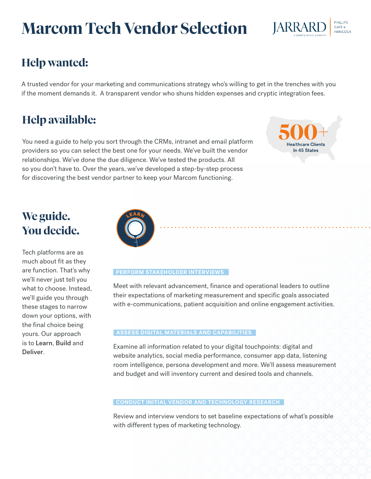# **Marcom Tech Vendor Selection**



# **Help wanted:**

A trusted vendor for your marketing and communications strategy who's willing to get in the trenches with you if the moment demands it. A transparent vendor who shuns hidden expenses and cryptic integration fees.

# **Help available:**

You need a guide to help you sort through the CRMs, intranet and email platform providers so you can select the best one for your needs. We've built the vendor relationships. We've done the due diligence. We've tested the products. All so you don't have to. Over the years, we've developed a step-by-step process for discovering the best vendor partner to keep your Marcom functioning.

**Healthcare Clients** In 45 States

# **We guide. You decide.**

Tech platforms are as much about fit as they are function. That's why we'll never just tell you what to choose. Instead, we'll guide you through these stages to narrow down your options, with the final choice being yours. Our approach is to Learn, Build and Deliver.



### **PERFORM STAKEHOLDER INTERVIEWS**

Meet with relevant advancement, finance and operational leaders to outline their expectations of marketing measurement and specific goals associated with e-communications, patient acquisition and online engagement activities.

### **ASSESS DIGITAL MATERIALS AND CAPABILITIES**

Examine all information related to your digital touchpoints: digital and website analytics, social media performance, consumer app data, listening room intelligence, persona development and more. We'll assess measurement and budget and will inventory current and desired tools and channels.

### **CONDUCT INITIAL VENDOR AND TECHNOLOGY RESEARCH**

Review and interview vendors to set baseline expectations of what's possible with different types of marketing technology.